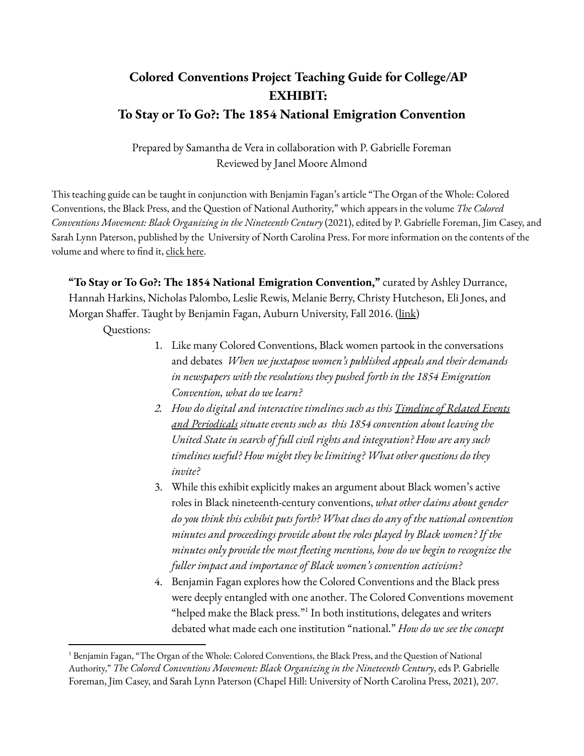## **Colored Conventions Project Teaching Guide for College/AP EXHIBIT: To Stay or To Go?: The 1854 National Emigration Convention**

Prepared by Samantha de Vera in collaboration with P. Gabrielle Foreman Reviewed by Janel Moore Almond

This teaching guide can be taught in conjunction with Benjamin Fagan's article "The Organ of the Whole: Colored Conventions, the Black Press, and the Question of National Authority," which appears in the volume *The Colored Conventions Movement: Black Organizing in the Nineteenth Century* (2021), edited by P. Gabrielle Foreman, Jim Casey, and Sarah Lynn Paterson, published by the University of North Carolina Press. For more information on the contents of the volume and where to find it, [click](https://coloredconventions.org/about/book/) here.

**"To Stay or To Go?: The 1854 National Emigration Convention,"** curated by Ashley Durrance, Hannah Harkins, Nicholas Palombo, Leslie Rewis, Melanie Berry, Christy Hutcheson, Eli Jones, and Morgan Shaffer. Taught by Benjamin Fagan, Auburn University, Fall 2016. [\(link](https://coloredconventions.org/emigration-debate/))

Questions:

- 1. Like many Colored Conventions, Black women partook in the conversations and debates *When we juxtapose women's published appeals and their demands in newspapers with the resolutions they pushed forth in the 1854 Emigration Convention, what do we learn?*
- *2. How do digital and interactive timelines such as this [Timeline](https://coloredconventions.org/emigration-debate/timeline-of-related-events-and-periodicals/) of Related Events and [Periodicals](https://coloredconventions.org/emigration-debate/timeline-of-related-events-and-periodicals/) situate events such as this 1854 convention about leaving the United State in search of full civil rights and integration? How are any such timelines useful? How might they be limiting? What other questions do they invite?*
- 3. While this exhibit explicitly makes an argument about Black women's active roles in Black nineteenth-century conventions, *what other claims about gender do you think this exhibit puts forth? What clues do any of the national convention minutes and proceedings provide about the roles played by Black women? If the minutes only provide the most fleeting mentions, how do we begin to recognize the fuller impact and importance of Black women's convention activism?*
- 4. Benjamin Fagan explores how the Colored Conventions and the Black press were deeply entangled with one another. The Colored Conventions movement "helped make the Black press." $^1$  In both institutions, delegates and writers debated what made each one institution "national." *How do we see the concept*

<sup>&</sup>lt;sup>1</sup> Benjamin Fagan, "The Organ of the Whole: Colored Conventions, the Black Press, and the Question of National Authority," *The Colored Conventions Movement: Black Organizing in the Nineteenth Century*, eds P. Gabrielle Foreman, Jim Casey, and Sarah Lynn Paterson (Chapel Hill: University of North Carolina Press, 2021), 207.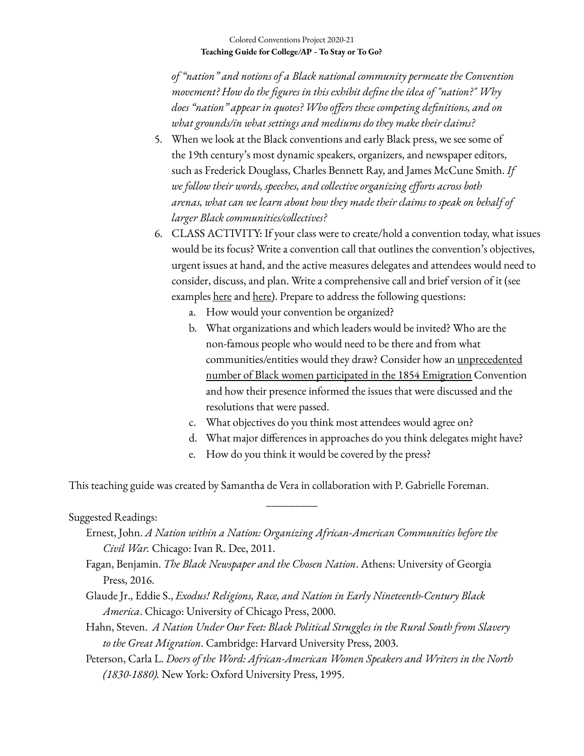## Colored Conventions Project 2020-21 **Teaching Guide for College/AP - To Stay or To Go?**

*of "nation" and notions of a Black national community permeate the Convention movement? How do the figures in this exhibit define the idea of "nation?" Why does "nation" appear in quotes? Who offers these competing definitions, and on what grounds/in what settings and mediums do they make their claims?*

- 5. When we look at the Black conventions and early Black press, we see some of the 19th century's most dynamic speakers, organizers, and newspaper editors, such as Frederick Douglass, Charles Bennett Ray, and James McCune Smith. *If we follow their words, speeches, and collective organizing efforts across both arenas, what can we learn about how they made their claims to speak on behalf of larger Black communities/collectives?*
- 6. CLASS ACTIVITY: If your class were to create/hold a convention today, what issues would be its focus? Write a convention call that outlines the convention's objectives, urgent issues at hand, and the active measures delegates and attendees would need to consider, discuss, and plan. Write a comprehensive call and brief version of it (see examples <u>[here](https://omeka.coloredconventions.org/items/show/596)</u> and <u>here</u>). Prepare to address the following questions:
	- a. How would your convention be organized?
	- b. What organizations and which leaders would be invited? Who are the non-famous people who would need to be there and from what communities/entities would they draw? Consider how an [unprecedented](https://coloredconventions.org/emigration-debate/women-involvement/women-delegates/) number of Black women [participated](https://coloredconventions.org/emigration-debate/women-involvement/women-delegates/) in the 1854 Emigration Convention and how their presence informed the issues that were discussed and the resolutions that were passed.
	- c. What objectives do you think most attendees would agree on?
	- d. What major differences in approaches do you think delegates might have?
	- e. How do you think it would be covered by the press?

This teaching guide was created by Samantha de Vera in collaboration with P. Gabrielle Foreman.

## Suggested Readings:

Ernest, John. *A Nation within a Nation: Organizing African-American Communities before the Civil War.* Chicago: Ivan R. Dee, 2011.

\_\_\_\_\_\_\_\_\_

- Fagan, Benjamin. *The Black Newspaper and the Chosen Nation*. Athens: University of Georgia Press, 2016.
- Glaude Jr., Eddie S., *Exodus! Religions, Race, and Nation in Early Nineteenth-Century Black America*. Chicago: University of Chicago Press, 2000.
- Hahn, Steven. *A Nation Under Our Feet: Black Political Struggles in the Rural South from Slavery to the Great Migration*. Cambridge: Harvard University Press, 2003.
- Peterson, Carla L. *Doers of the Word: African-American Women Speakers and Writers in the North (1830-1880).* New York: Oxford University Press, 1995.